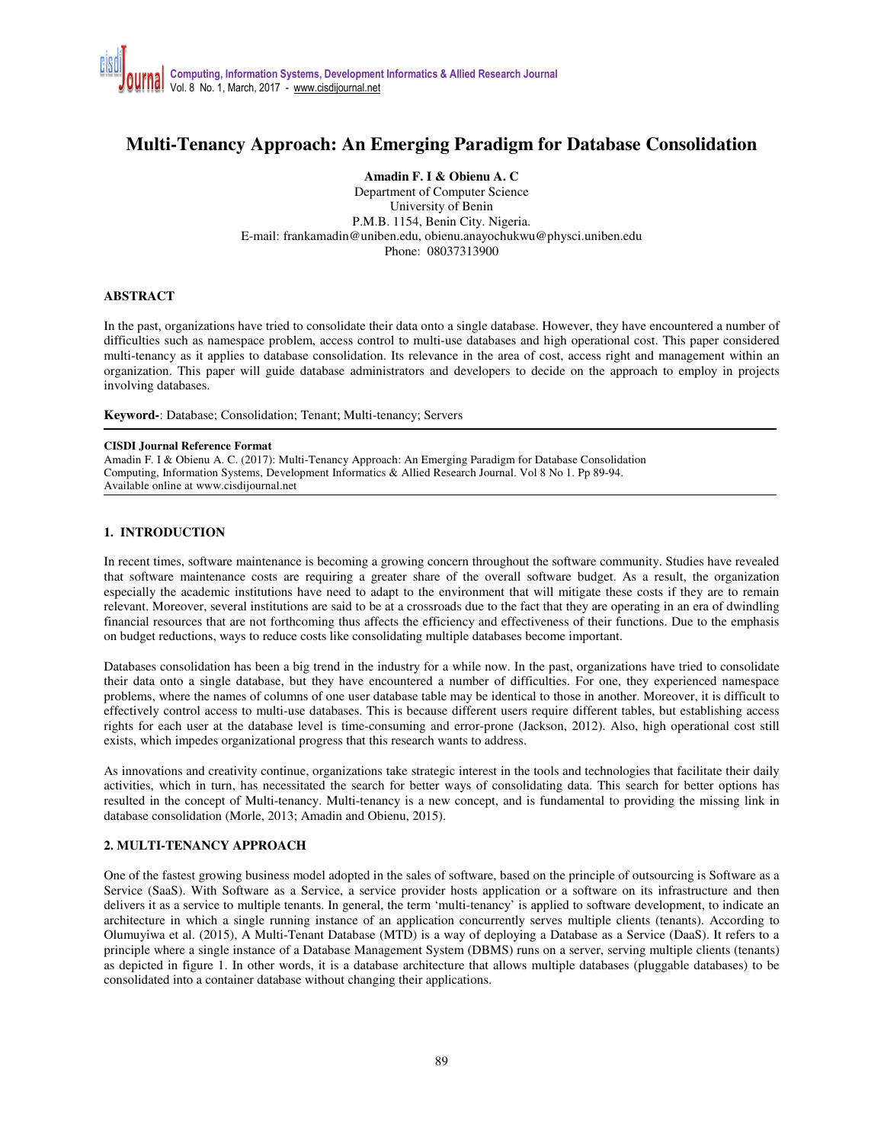# **Multi-Tenancy Approach: An Emerging Paradigm for Database Consolidation**

**Amadin F. I & Obienu A. C** 

Department of Computer Science University of Benin P.M.B. 1154, Benin City. Nigeria. E-mail: frankamadin@uniben.edu, obienu.anayochukwu@physci.uniben.edu Phone: 08037313900

### **ABSTRACT**

In the past, organizations have tried to consolidate their data onto a single database. However, they have encountered a number of difficulties such as namespace problem, access control to multi-use databases and high operational cost. This paper considered multi-tenancy as it applies to database consolidation. Its relevance in the area of cost, access right and management within an organization. This paper will guide database administrators and developers to decide on the approach to employ in projects involving databases.

**Keyword-**: Database; Consolidation; Tenant; Multi-tenancy; Servers

#### **CISDI Journal Reference Format**

Amadin F. I & Obienu A. C. (2017): Multi-Tenancy Approach: An Emerging Paradigm for Database Consolidation Computing, Information Systems, Development Informatics & Allied Research Journal. Vol 8 No 1. Pp 89-94. Available online at www.cisdijournal.net

## **1. INTRODUCTION**

In recent times, software maintenance is becoming a growing concern throughout the software community. Studies have revealed that software maintenance costs are requiring a greater share of the overall software budget. As a result, the organization especially the academic institutions have need to adapt to the environment that will mitigate these costs if they are to remain relevant. Moreover, several institutions are said to be at a crossroads due to the fact that they are operating in an era of dwindling financial resources that are not forthcoming thus affects the efficiency and effectiveness of their functions. Due to the emphasis on budget reductions, ways to reduce costs like consolidating multiple databases become important.

Databases consolidation has been a big trend in the industry for a while now. In the past, organizations have tried to consolidate their data onto a single database, but they have encountered a number of difficulties. For one, they experienced namespace problems, where the names of columns of one user database table may be identical to those in another. Moreover, it is difficult to effectively control access to multi-use databases. This is because different users require different tables, but establishing access rights for each user at the database level is time-consuming and error-prone (Jackson, 2012). Also, high operational cost still exists, which impedes organizational progress that this research wants to address.

As innovations and creativity continue, organizations take strategic interest in the tools and technologies that facilitate their daily activities, which in turn, has necessitated the search for better ways of consolidating data. This search for better options has resulted in the concept of Multi-tenancy. Multi-tenancy is a new concept, and is fundamental to providing the missing link in database consolidation (Morle, 2013; Amadin and Obienu, 2015).

## **2. MULTI-TENANCY APPROACH**

One of the fastest growing business model adopted in the sales of software, based on the principle of outsourcing is Software as a Service (SaaS). With Software as a Service, a service provider hosts application or a software on its infrastructure and then delivers it as a service to multiple tenants. In general, the term 'multi-tenancy' is applied to software development, to indicate an architecture in which a single running instance of an application concurrently serves multiple clients (tenants). According to Olumuyiwa et al. (2015), A Multi-Tenant Database (MTD) is a way of deploying a Database as a Service (DaaS). It refers to a principle where a single instance of a Database Management System (DBMS) runs on a server, serving multiple clients (tenants) as depicted in figure 1. In other words, it is a database architecture that allows multiple databases (pluggable databases) to be consolidated into a container database without changing their applications.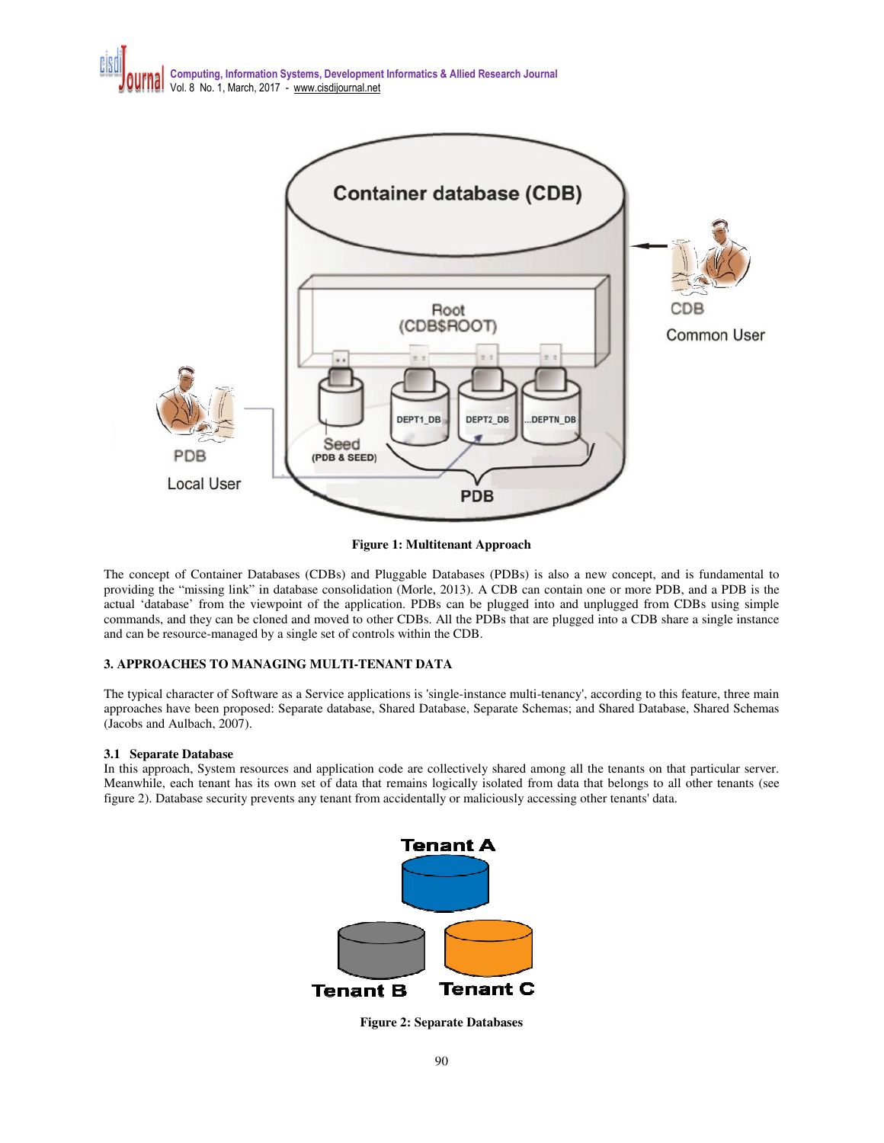

**Figure 1: Multitenant Approach** 

The concept of Container Databases (CDBs) and Pluggable Databases (PDBs) is also a new concept, and is fundamental to providing the "missing link" in database consolidation (Morle, 2013). A CDB can contain one or more PDB, and a PDB is the actual 'database' from the viewpoint of the application. PDBs can be plugged into and unplugged from CDBs using simple commands, and they can be cloned and moved to other CDBs. All the PDBs that are plugged into a CDB share a single instance and can be resource-managed by a single set of controls within the CDB.

## **3. APPROACHES TO MANAGING MULTI-TENANT DATA**

The typical character of Software as a Service applications is 'single-instance multi-tenancy', according to this feature, three main approaches have been proposed: Separate database, Shared Database, Separate Schemas; and Shared Database, Shared Schemas (Jacobs and Aulbach, 2007).

## **3.1 Separate Database**

In this approach, System resources and application code are collectively shared among all the tenants on that particular server. Meanwhile, each tenant has its own set of data that remains logically isolated from data that belongs to all other tenants (see figure 2). Database security prevents any tenant from accidentally or maliciously accessing other tenants' data.



**Figure 2: Separate Databases**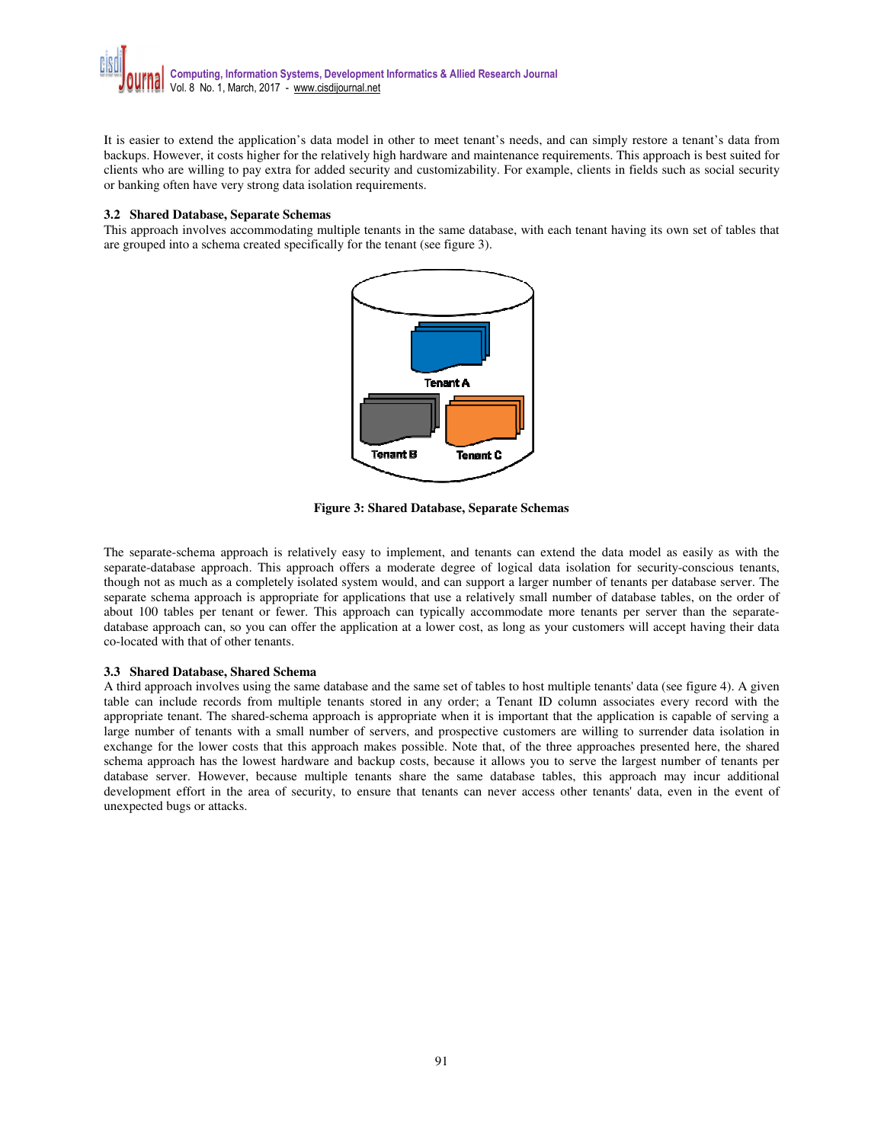It is easier to extend the application's data model in other to meet tenant's needs, and can simply restore a tenant's data from backups. However, it costs higher for the relatively high hardware and maintenance requirements. This approach is best suited for clients who are willing to pay extra for added security and customizability. For example, clients in fields such as social security or banking often have very strong data isolation requirements.

#### **3.2 Shared Database, Separate Schemas**

This approach involves accommodating multiple tenants in the same database, with each tenant having its own set of tables that are grouped into a schema created specifically for the tenant (see figure 3).



**Figure 3: Shared Database, Separate Schemas** 

The separate-schema approach is relatively easy to implement, and tenants can extend the data model as easily as with the separate-database approach. This approach offers a moderate degree of logical data isolation for security-conscious tenants, though not as much as a completely isolated system would, and can support a larger number of tenants per database server. The separate schema approach is appropriate for applications that use a relatively small number of database tables, on the order of about 100 tables per tenant or fewer. This approach can typically accommodate more tenants per server than the separatedatabase approach can, so you can offer the application at a lower cost, as long as your customers will accept having their data co-located with that of other tenants.

## **3.3 Shared Database, Shared Schema**

A third approach involves using the same database and the same set of tables to host multiple tenants' data (see figure 4). A given table can include records from multiple tenants stored in any order; a Tenant ID column associates every record with the appropriate tenant. The shared-schema approach is appropriate when it is important that the application is capable of serving a large number of tenants with a small number of servers, and prospective customers are willing to surrender data isolation in exchange for the lower costs that this approach makes possible. Note that, of the three approaches presented here, the shared schema approach has the lowest hardware and backup costs, because it allows you to serve the largest number of tenants per database server. However, because multiple tenants share the same database tables, this approach may incur additional development effort in the area of security, to ensure that tenants can never access other tenants' data, even in the event of unexpected bugs or attacks.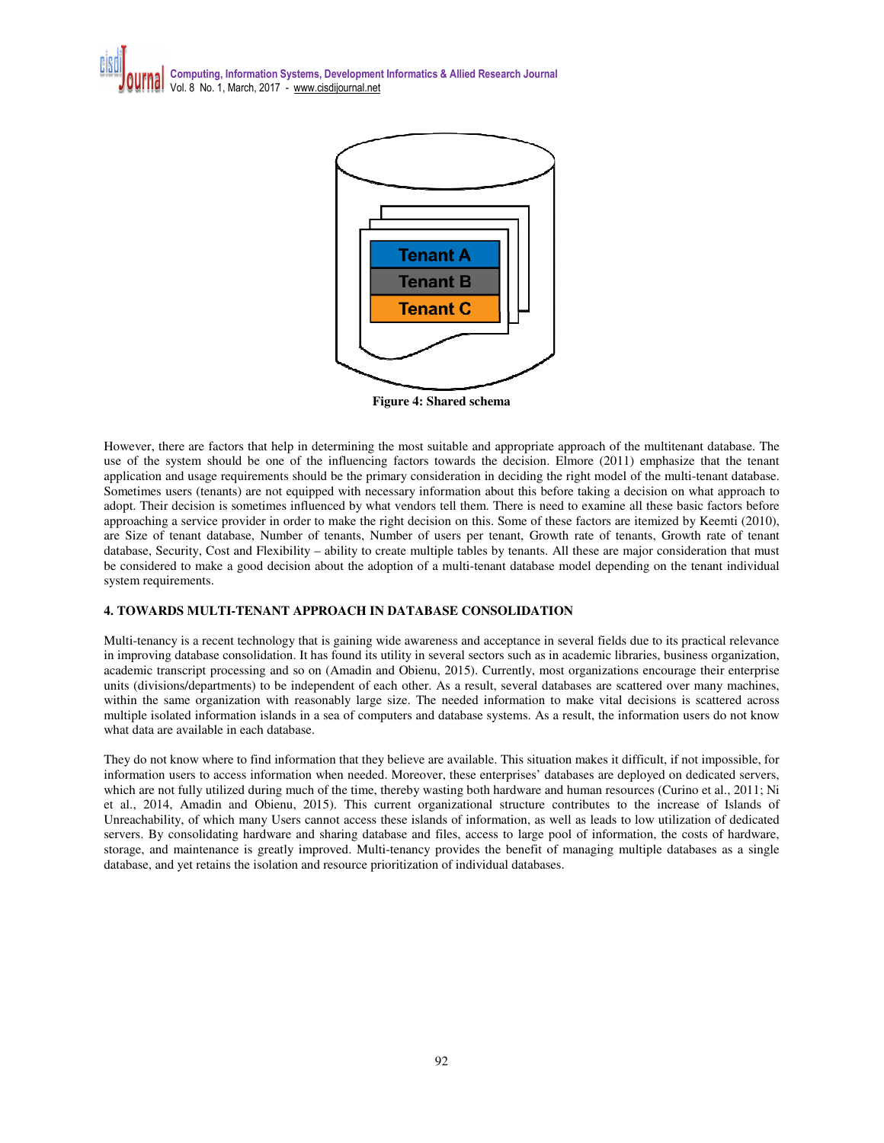



**Figure 4: Shared schema** 

However, there are factors that help in determining the most suitable and appropriate approach of the multitenant database. The use of the system should be one of the influencing factors towards the decision. Elmore (2011) emphasize that the tenant application and usage requirements should be the primary consideration in deciding the right model of the multi-tenant database. Sometimes users (tenants) are not equipped with necessary information about this before taking a decision on what approach to adopt. Their decision is sometimes influenced by what vendors tell them. There is need to examine all these basic factors before approaching a service provider in order to make the right decision on this. Some of these factors are itemized by Keemti (2010), are Size of tenant database, Number of tenants, Number of users per tenant, Growth rate of tenants, Growth rate of tenant database, Security, Cost and Flexibility – ability to create multiple tables by tenants. All these are major consideration that must be considered to make a good decision about the adoption of a multi-tenant database model depending on the tenant individual system requirements.

## **4. TOWARDS MULTI-TENANT APPROACH IN DATABASE CONSOLIDATION**

Multi-tenancy is a recent technology that is gaining wide awareness and acceptance in several fields due to its practical relevance in improving database consolidation. It has found its utility in several sectors such as in academic libraries, business organization, academic transcript processing and so on (Amadin and Obienu, 2015). Currently, most organizations encourage their enterprise units (divisions/departments) to be independent of each other. As a result, several databases are scattered over many machines, within the same organization with reasonably large size. The needed information to make vital decisions is scattered across multiple isolated information islands in a sea of computers and database systems. As a result, the information users do not know what data are available in each database.

They do not know where to find information that they believe are available. This situation makes it difficult, if not impossible, for information users to access information when needed. Moreover, these enterprises' databases are deployed on dedicated servers, which are not fully utilized during much of the time, thereby wasting both hardware and human resources (Curino et al., 2011; Ni et al., 2014, Amadin and Obienu, 2015). This current organizational structure contributes to the increase of Islands of Unreachability, of which many Users cannot access these islands of information, as well as leads to low utilization of dedicated servers. By consolidating hardware and sharing database and files, access to large pool of information, the costs of hardware, storage, and maintenance is greatly improved. Multi-tenancy provides the benefit of managing multiple databases as a single database, and yet retains the isolation and resource prioritization of individual databases.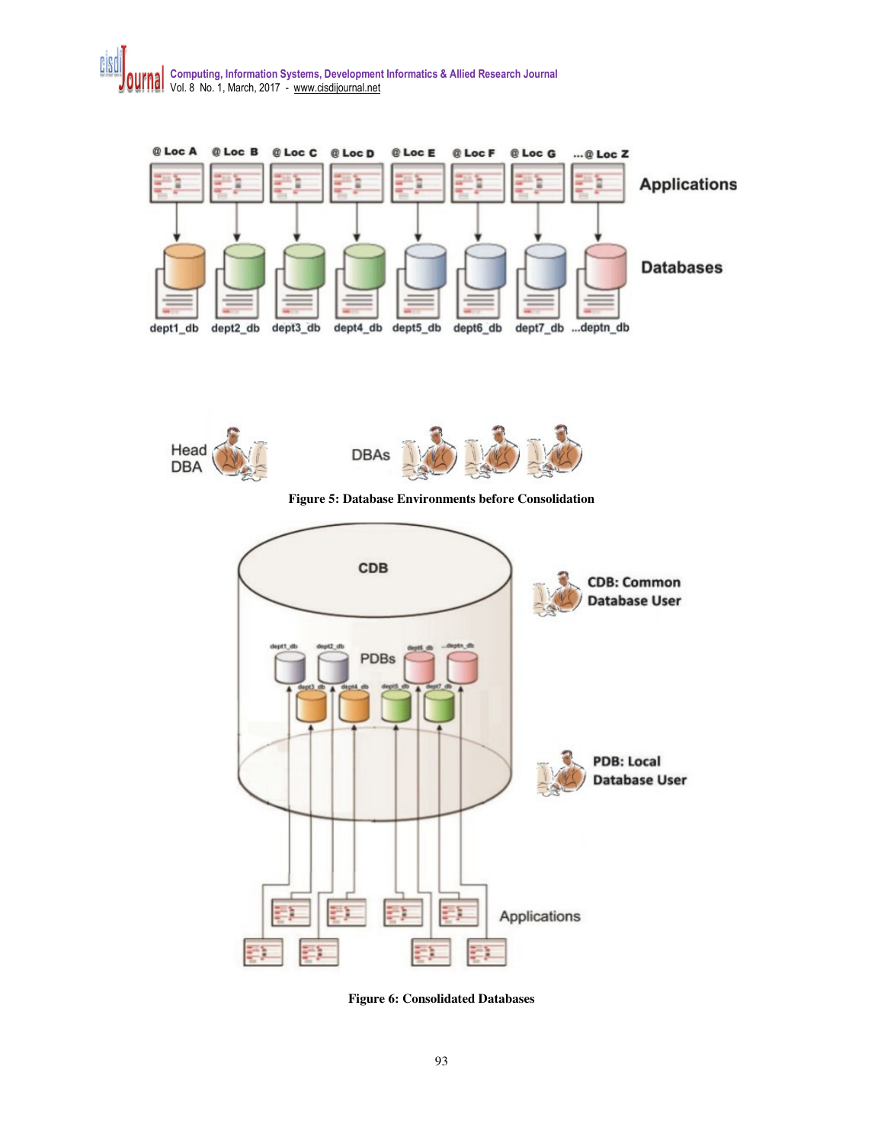



**Figure 6: Consolidated Databases**